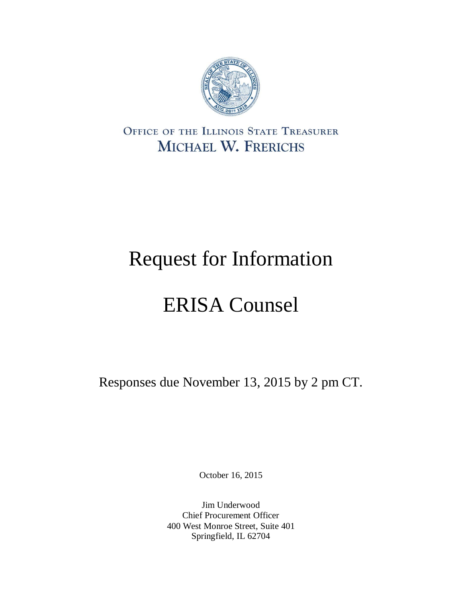

OFFICE OF THE ILLINOIS STATE TREASURER MICHAEL W. FRERICHS

# Request for Information

# ERISA Counsel

Responses due November 13, 2015 by 2 pm CT.

October 16, 2015

Jim Underwood Chief Procurement Officer 400 West Monroe Street, Suite 401 Springfield, IL 62704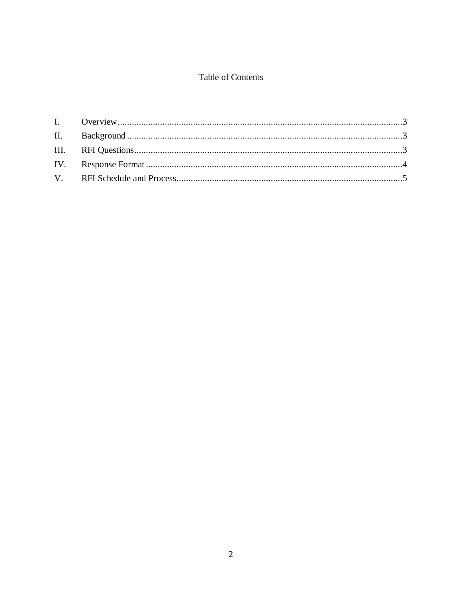# Table of Contents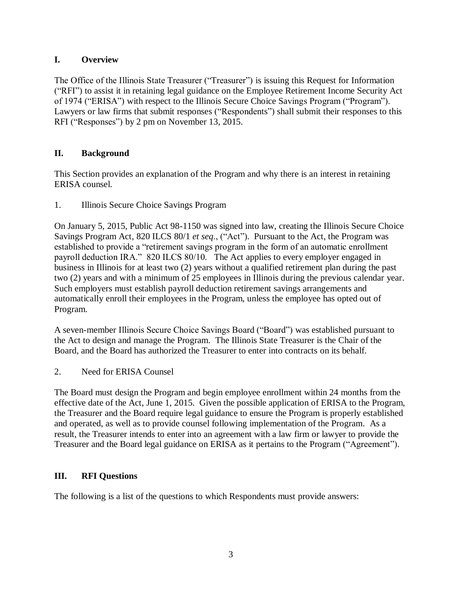# <span id="page-2-0"></span>**I. Overview**

The Office of the Illinois State Treasurer ("Treasurer") is issuing this Request for Information ("RFI") to assist it in retaining legal guidance on the Employee Retirement Income Security Act of 1974 ("ERISA") with respect to the Illinois Secure Choice Savings Program ("Program"). Lawyers or law firms that submit responses ("Respondents") shall submit their responses to this RFI ("Responses") by 2 pm on November 13, 2015.

# <span id="page-2-1"></span>**II. Background**

This Section provides an explanation of the Program and why there is an interest in retaining ERISA counsel.

1. Illinois Secure Choice Savings Program

On January 5, 2015, Public Act 98-1150 was signed into law, creating the Illinois Secure Choice Savings Program Act, 820 ILCS 80/1 *et seq*., ("Act"). Pursuant to the Act, the Program was established to provide a "retirement savings program in the form of an automatic enrollment payroll deduction IRA." 820 ILCS 80/10. The Act applies to every employer engaged in business in Illinois for at least two (2) years without a qualified retirement plan during the past two (2) years and with a minimum of 25 employees in Illinois during the previous calendar year. Such employers must establish payroll deduction retirement savings arrangements and automatically enroll their employees in the Program, unless the employee has opted out of Program.

A seven-member Illinois Secure Choice Savings Board ("Board") was established pursuant to the Act to design and manage the Program. The Illinois State Treasurer is the Chair of the Board, and the Board has authorized the Treasurer to enter into contracts on its behalf.

2. Need for ERISA Counsel

The Board must design the Program and begin employee enrollment within 24 months from the effective date of the Act, June 1, 2015. Given the possible application of ERISA to the Program, the Treasurer and the Board require legal guidance to ensure the Program is properly established and operated, as well as to provide counsel following implementation of the Program. As a result, the Treasurer intends to enter into an agreement with a law firm or lawyer to provide the Treasurer and the Board legal guidance on ERISA as it pertains to the Program ("Agreement").

# <span id="page-2-2"></span>**III. RFI Questions**

The following is a list of the questions to which Respondents must provide answers: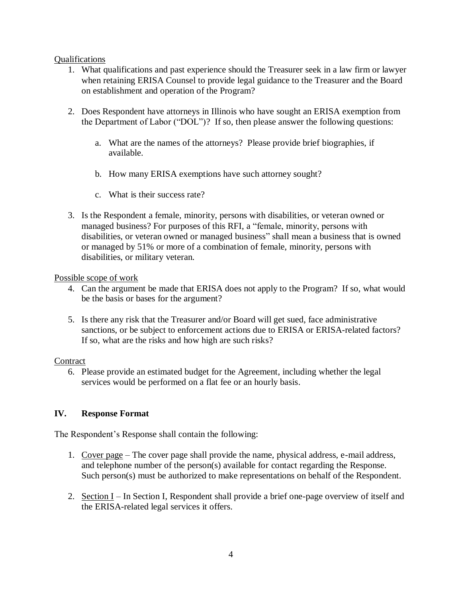#### Qualifications

- 1. What qualifications and past experience should the Treasurer seek in a law firm or lawyer when retaining ERISA Counsel to provide legal guidance to the Treasurer and the Board on establishment and operation of the Program?
- 2. Does Respondent have attorneys in Illinois who have sought an ERISA exemption from the Department of Labor ("DOL")? If so, then please answer the following questions:
	- a. What are the names of the attorneys? Please provide brief biographies, if available.
	- b. How many ERISA exemptions have such attorney sought?
	- c. What is their success rate?
- 3. Is the Respondent a female, minority, persons with disabilities, or veteran owned or managed business? For purposes of this RFI, a "female, minority, persons with disabilities, or veteran owned or managed business" shall mean a business that is owned or managed by 51% or more of a combination of female, minority, persons with disabilities, or military veteran.

#### Possible scope of work

- 4. Can the argument be made that ERISA does not apply to the Program? If so, what would be the basis or bases for the argument?
- 5. Is there any risk that the Treasurer and/or Board will get sued, face administrative sanctions, or be subject to enforcement actions due to ERISA or ERISA-related factors? If so, what are the risks and how high are such risks?

#### **Contract**

6. Please provide an estimated budget for the Agreement, including whether the legal services would be performed on a flat fee or an hourly basis.

#### <span id="page-3-0"></span>**IV. Response Format**

The Respondent's Response shall contain the following:

- 1. Cover page The cover page shall provide the name, physical address, e-mail address, and telephone number of the person(s) available for contact regarding the Response. Such person(s) must be authorized to make representations on behalf of the Respondent.
- 2. Section I In Section I, Respondent shall provide a brief one-page overview of itself and the ERISA-related legal services it offers.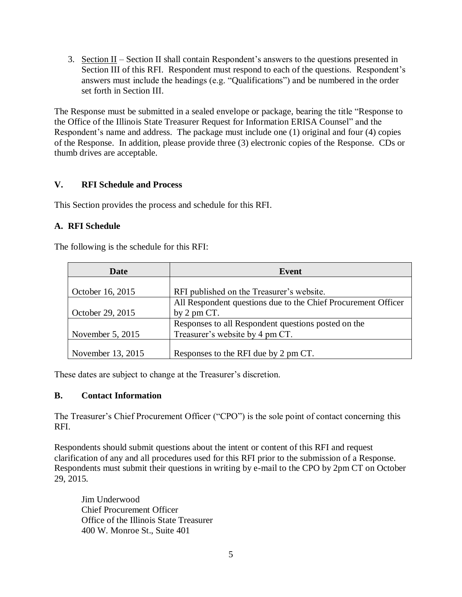3. Section II – Section II shall contain Respondent's answers to the questions presented in Section III of this RFI. Respondent must respond to each of the questions. Respondent's answers must include the headings (e.g. "Qualifications") and be numbered in the order set forth in Section III.

The Response must be submitted in a sealed envelope or package, bearing the title "Response to the Office of the Illinois State Treasurer Request for Information ERISA Counsel" and the Respondent's name and address. The package must include one (1) original and four (4) copies of the Response. In addition, please provide three (3) electronic copies of the Response. CDs or thumb drives are acceptable.

## <span id="page-4-0"></span>**V. RFI Schedule and Process**

This Section provides the process and schedule for this RFI.

## **A. RFI Schedule**

The following is the schedule for this RFI:

| Date              | Event                                                         |
|-------------------|---------------------------------------------------------------|
|                   |                                                               |
| October 16, 2015  | RFI published on the Treasurer's website.                     |
|                   | All Respondent questions due to the Chief Procurement Officer |
| October 29, 2015  | by $2 \text{ pm } CT$ .                                       |
|                   | Responses to all Respondent questions posted on the           |
| November 5, 2015  | Treasurer's website by 4 pm CT.                               |
|                   |                                                               |
| November 13, 2015 | Responses to the RFI due by 2 pm CT.                          |

These dates are subject to change at the Treasurer's discretion.

#### **B. Contact Information**

The Treasurer's Chief Procurement Officer ("CPO") is the sole point of contact concerning this RFI.

Respondents should submit questions about the intent or content of this RFI and request clarification of any and all procedures used for this RFI prior to the submission of a Response. Respondents must submit their questions in writing by e-mail to the CPO by 2pm CT on October 29, 2015.

Jim Underwood Chief Procurement Officer Office of the Illinois State Treasurer 400 W. Monroe St., Suite 401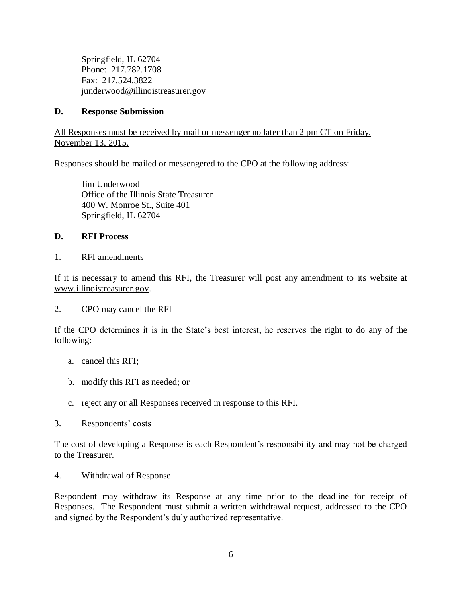Springfield, IL 62704 Phone: 217.782.1708 Fax: 217.524.3822 junderwood@illinoistreasurer.gov

#### **D. Response Submission**

All Responses must be received by mail or messenger no later than 2 pm CT on Friday, November 13, 2015.

Responses should be mailed or messengered to the CPO at the following address:

Jim Underwood Office of the Illinois State Treasurer 400 W. Monroe St., Suite 401 Springfield, IL 62704

# **D. RFI Process**

1. RFI amendments

If it is necessary to amend this RFI, the Treasurer will post any amendment to its website at www.illinoistreasurer.gov.

2. CPO may cancel the RFI

If the CPO determines it is in the State's best interest, he reserves the right to do any of the following:

- a. cancel this RFI;
- b. modify this RFI as needed; or
- c. reject any or all Responses received in response to this RFI.
- 3. Respondents' costs

The cost of developing a Response is each Respondent's responsibility and may not be charged to the Treasurer.

4. Withdrawal of Response

Respondent may withdraw its Response at any time prior to the deadline for receipt of Responses. The Respondent must submit a written withdrawal request, addressed to the CPO and signed by the Respondent's duly authorized representative.